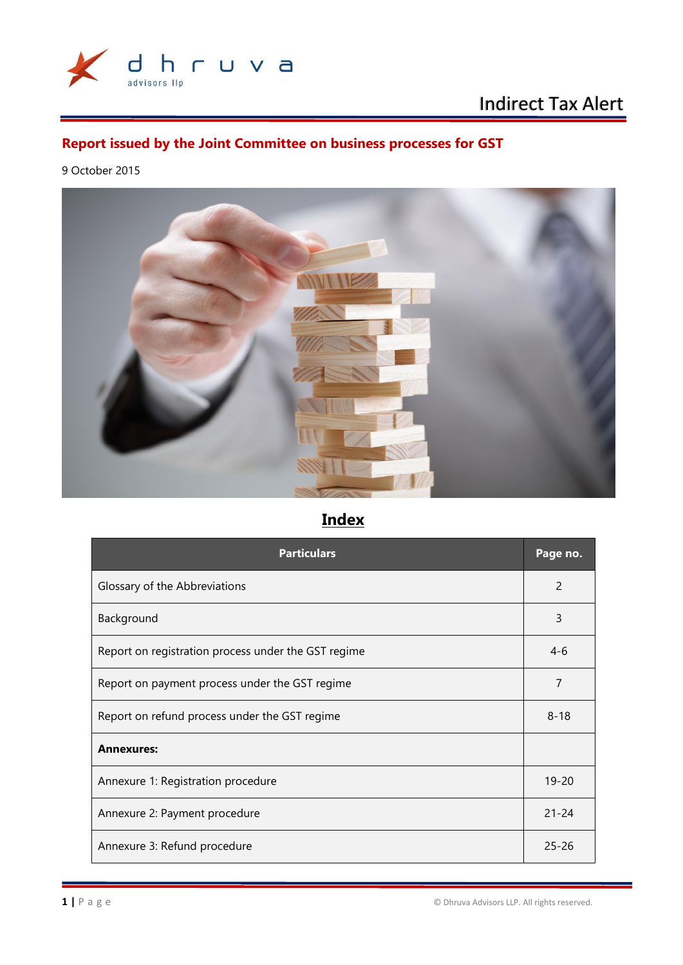

# Indirect Tax Alert

## **Report issued by the Joint Committee on business processes for GST**

9 October 2015



# **Index**

| <b>Particulars</b>                                  | Page no.       |
|-----------------------------------------------------|----------------|
| Glossary of the Abbreviations                       | $\overline{2}$ |
| Background                                          | 3              |
| Report on registration process under the GST regime | $4-6$          |
| Report on payment process under the GST regime      | 7              |
| Report on refund process under the GST regime       | $8 - 18$       |
| <b>Annexures:</b>                                   |                |
| Annexure 1: Registration procedure                  | $19 - 20$      |
| Annexure 2: Payment procedure                       | $21 - 24$      |
| Annexure 3: Refund procedure                        | $25 - 26$      |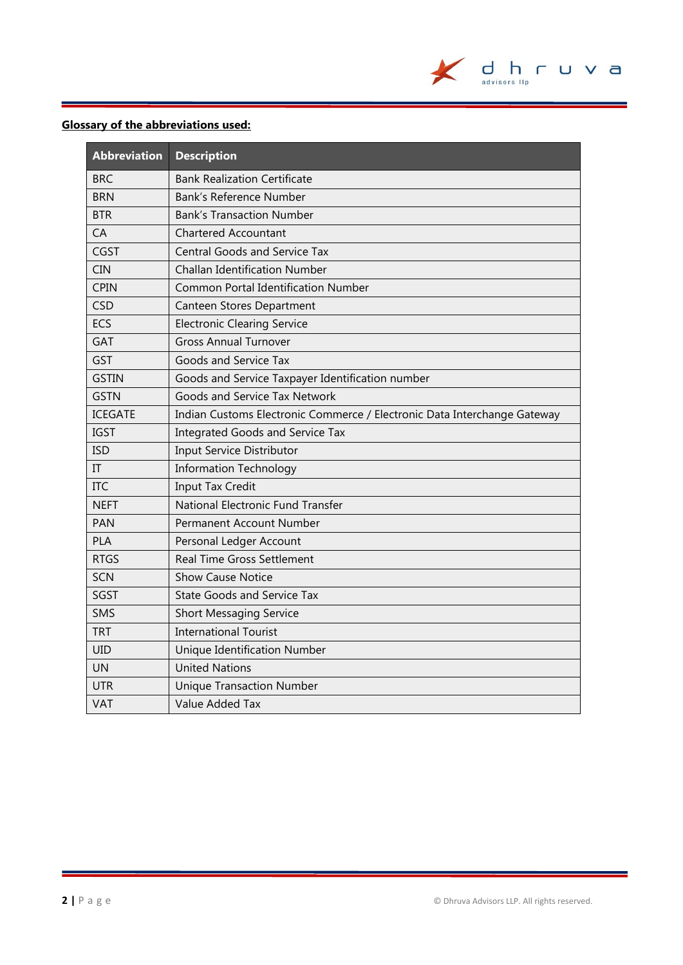

### **Glossary of the abbreviations used:**

| <b>Abbreviation</b> | <b>Description</b>                                                       |
|---------------------|--------------------------------------------------------------------------|
| <b>BRC</b>          | <b>Bank Realization Certificate</b>                                      |
| <b>BRN</b>          | Bank's Reference Number                                                  |
| <b>BTR</b>          | <b>Bank's Transaction Number</b>                                         |
| CA                  | <b>Chartered Accountant</b>                                              |
| <b>CGST</b>         | <b>Central Goods and Service Tax</b>                                     |
| <b>CIN</b>          | <b>Challan Identification Number</b>                                     |
| <b>CPIN</b>         | <b>Common Portal Identification Number</b>                               |
| <b>CSD</b>          | Canteen Stores Department                                                |
| <b>ECS</b>          | <b>Electronic Clearing Service</b>                                       |
| <b>GAT</b>          | <b>Gross Annual Turnover</b>                                             |
| <b>GST</b>          | Goods and Service Tax                                                    |
| <b>GSTIN</b>        | Goods and Service Taxpayer Identification number                         |
| <b>GSTN</b>         | Goods and Service Tax Network                                            |
| <b>ICEGATE</b>      | Indian Customs Electronic Commerce / Electronic Data Interchange Gateway |
| <b>IGST</b>         | <b>Integrated Goods and Service Tax</b>                                  |
| <b>ISD</b>          | <b>Input Service Distributor</b>                                         |
| $\Pi$               | <b>Information Technology</b>                                            |
| <b>ITC</b>          | <b>Input Tax Credit</b>                                                  |
| <b>NEFT</b>         | National Electronic Fund Transfer                                        |
| <b>PAN</b>          | Permanent Account Number                                                 |
| <b>PLA</b>          | Personal Ledger Account                                                  |
| <b>RTGS</b>         | <b>Real Time Gross Settlement</b>                                        |
| SCN                 | <b>Show Cause Notice</b>                                                 |
| <b>SGST</b>         | <b>State Goods and Service Tax</b>                                       |
| <b>SMS</b>          | <b>Short Messaging Service</b>                                           |
| <b>TRT</b>          | <b>International Tourist</b>                                             |
| <b>UID</b>          | <b>Unique Identification Number</b>                                      |
| UN                  | <b>United Nations</b>                                                    |
| <b>UTR</b>          | <b>Unique Transaction Number</b>                                         |
| VAT                 | Value Added Tax                                                          |

Ė.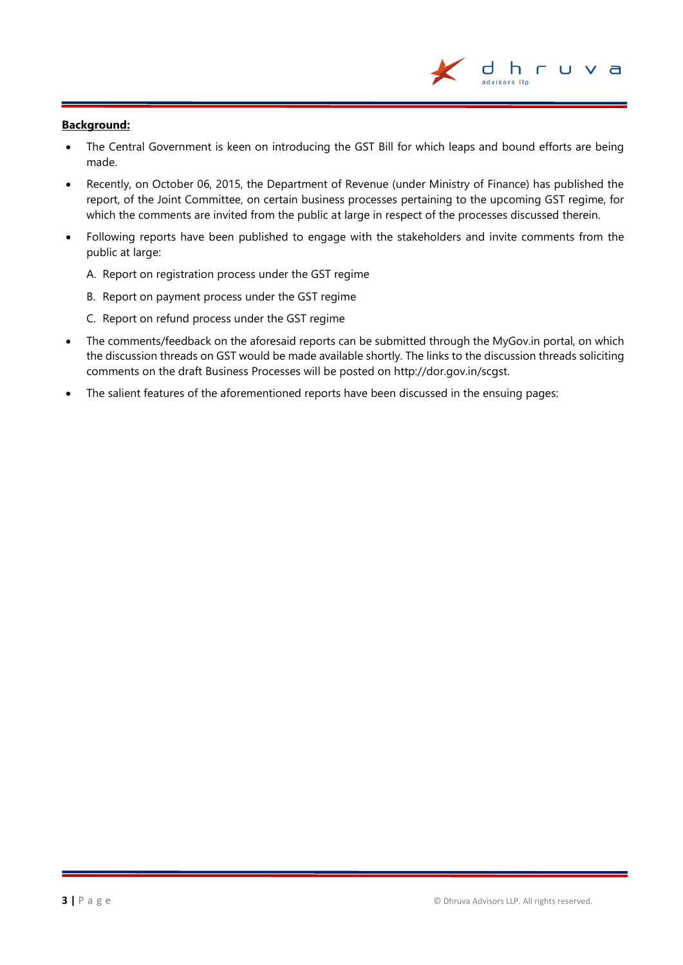#### **Background:**

- The Central Government is keen on introducing the GST Bill for which leaps and bound efforts are being made.
- Recently, on October 06, 2015, the Department of Revenue (under Ministry of Finance) has published the report, of the Joint Committee, on certain business processes pertaining to the upcoming GST regime, for which the comments are invited from the public at large in respect of the processes discussed therein.
- Following reports have been published to engage with the stakeholders and invite comments from the public at large:
	- A. Report on registration process under the GST regime
	- B. Report on payment process under the GST regime
	- C. Report on refund process under the GST regime
- The comments/feedback on the aforesaid reports can be submitted through the MyGov.in portal, on which the discussion threads on GST would be made available shortly. The links to the discussion threads soliciting comments on the draft Business Processes will be posted on [http://dor.gov.in/scgst.](http://dor.gov.in/scgst)
- The salient features of the aforementioned reports have been discussed in the ensuing pages:

d h r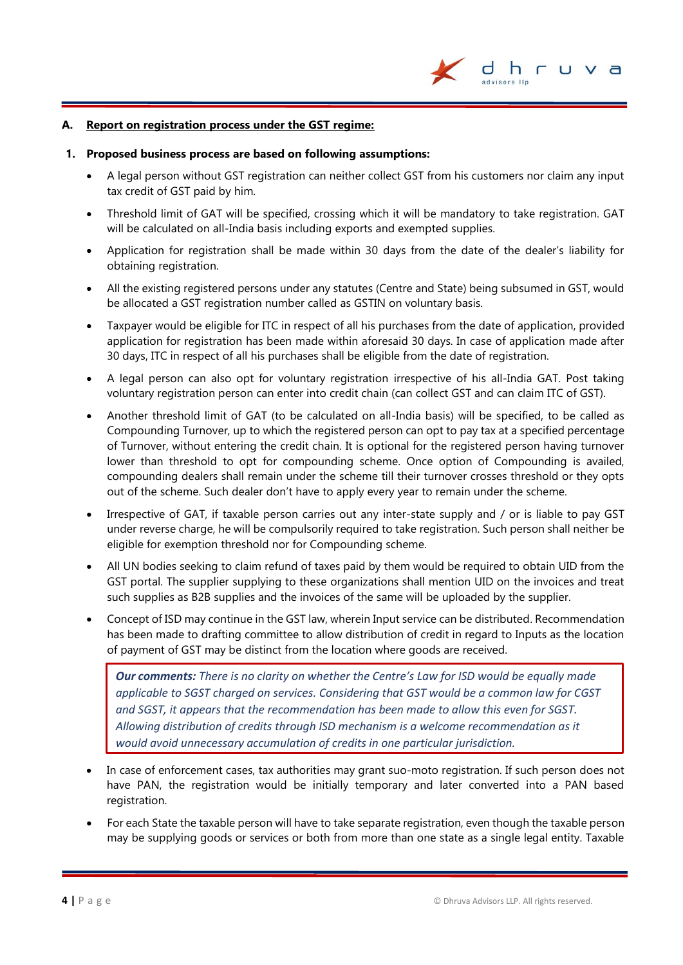

#### **A. Report on registration process under the GST regime:**

#### **1. Proposed business process are based on following assumptions:**

- A legal person without GST registration can neither collect GST from his customers nor claim any input tax credit of GST paid by him.
- Threshold limit of GAT will be specified, crossing which it will be mandatory to take registration. GAT will be calculated on all-India basis including exports and exempted supplies.
- Application for registration shall be made within 30 days from the date of the dealer's liability for obtaining registration.
- All the existing registered persons under any statutes (Centre and State) being subsumed in GST, would be allocated a GST registration number called as GSTIN on voluntary basis.
- Taxpayer would be eligible for ITC in respect of all his purchases from the date of application, provided application for registration has been made within aforesaid 30 days. In case of application made after 30 days, ITC in respect of all his purchases shall be eligible from the date of registration.
- A legal person can also opt for voluntary registration irrespective of his all-India GAT. Post taking voluntary registration person can enter into credit chain (can collect GST and can claim ITC of GST).
- Another threshold limit of GAT (to be calculated on all-India basis) will be specified, to be called as Compounding Turnover, up to which the registered person can opt to pay tax at a specified percentage of Turnover, without entering the credit chain. It is optional for the registered person having turnover lower than threshold to opt for compounding scheme. Once option of Compounding is availed, compounding dealers shall remain under the scheme till their turnover crosses threshold or they opts out of the scheme. Such dealer don't have to apply every year to remain under the scheme.
- Irrespective of GAT, if taxable person carries out any inter-state supply and / or is liable to pay GST under reverse charge, he will be compulsorily required to take registration. Such person shall neither be eligible for exemption threshold nor for Compounding scheme.
- All UN bodies seeking to claim refund of taxes paid by them would be required to obtain UID from the GST portal. The supplier supplying to these organizations shall mention UID on the invoices and treat such supplies as B2B supplies and the invoices of the same will be uploaded by the supplier.
- Concept of ISD may continue in the GST law, wherein Input service can be distributed. Recommendation has been made to drafting committee to allow distribution of credit in regard to Inputs as the location of payment of GST may be distinct from the location where goods are received.

*Our comments: There is no clarity on whether the Centre's Law for ISD would be equally made applicable to SGST charged on services. Considering that GST would be a common law for CGST and SGST, it appears that the recommendation has been made to allow this even for SGST. Allowing distribution of credits through ISD mechanism is a welcome recommendation as it would avoid unnecessary accumulation of credits in one particular jurisdiction.*

- In case of enforcement cases, tax authorities may grant suo-moto registration. If such person does not have PAN, the registration would be initially temporary and later converted into a PAN based registration.
- For each State the taxable person will have to take separate registration, even though the taxable person may be supplying goods or services or both from more than one state as a single legal entity. Taxable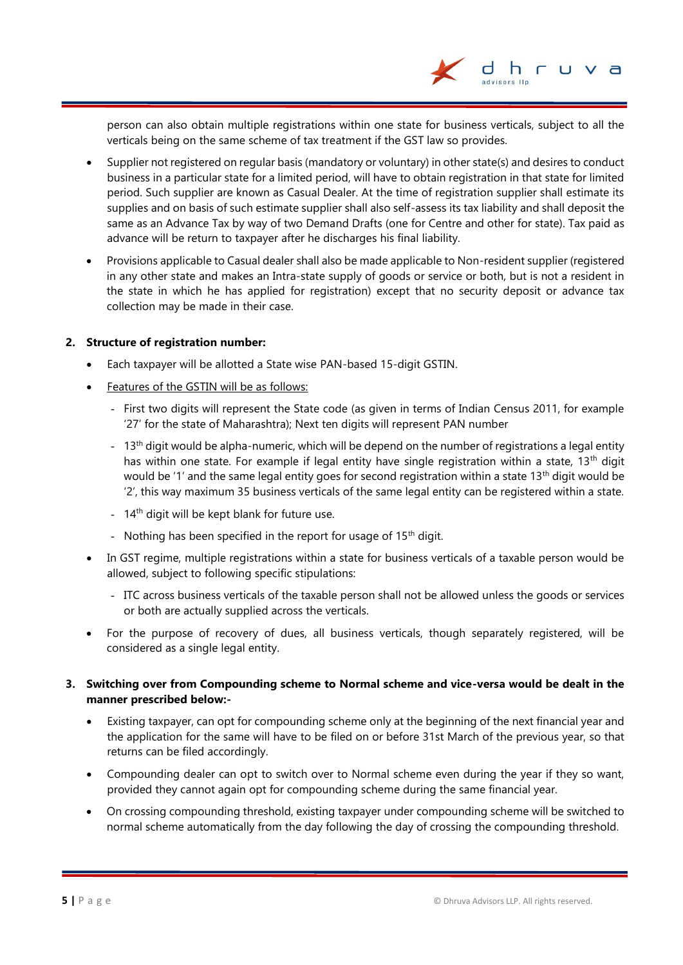person can also obtain multiple registrations within one state for business verticals, subject to all the verticals being on the same scheme of tax treatment if the GST law so provides.

dhr

- Supplier not registered on regular basis (mandatory or voluntary) in other state(s) and desires to conduct business in a particular state for a limited period, will have to obtain registration in that state for limited period. Such supplier are known as Casual Dealer. At the time of registration supplier shall estimate its supplies and on basis of such estimate supplier shall also self-assess its tax liability and shall deposit the same as an Advance Tax by way of two Demand Drafts (one for Centre and other for state). Tax paid as advance will be return to taxpayer after he discharges his final liability.
- Provisions applicable to Casual dealer shall also be made applicable to Non-resident supplier (registered in any other state and makes an Intra-state supply of goods or service or both, but is not a resident in the state in which he has applied for registration) except that no security deposit or advance tax collection may be made in their case.

#### **2. Structure of registration number:**

- Each taxpayer will be allotted a State wise PAN-based 15-digit GSTIN.
- Features of the GSTIN will be as follows:
	- First two digits will represent the State code (as given in terms of Indian Census 2011, for example '27' for the state of Maharashtra); Next ten digits will represent PAN number
	- 13<sup>th</sup> digit would be alpha-numeric, which will be depend on the number of registrations a legal entity has within one state. For example if legal entity have single registration within a state, 13<sup>th</sup> digit would be '1' and the same legal entity goes for second registration within a state 13<sup>th</sup> digit would be '2', this way maximum 35 business verticals of the same legal entity can be registered within a state.
	- 14<sup>th</sup> digit will be kept blank for future use.
	- Nothing has been specified in the report for usage of  $15<sup>th</sup>$  digit.
- In GST regime, multiple registrations within a state for business verticals of a taxable person would be allowed, subject to following specific stipulations:
	- ITC across business verticals of the taxable person shall not be allowed unless the goods or services or both are actually supplied across the verticals.
- For the purpose of recovery of dues, all business verticals, though separately registered, will be considered as a single legal entity.

#### **3. Switching over from Compounding scheme to Normal scheme and vice-versa would be dealt in the manner prescribed below:-**

- Existing taxpayer, can opt for compounding scheme only at the beginning of the next financial year and the application for the same will have to be filed on or before 31st March of the previous year, so that returns can be filed accordingly.
- Compounding dealer can opt to switch over to Normal scheme even during the year if they so want, provided they cannot again opt for compounding scheme during the same financial year.
- On crossing compounding threshold, existing taxpayer under compounding scheme will be switched to normal scheme automatically from the day following the day of crossing the compounding threshold.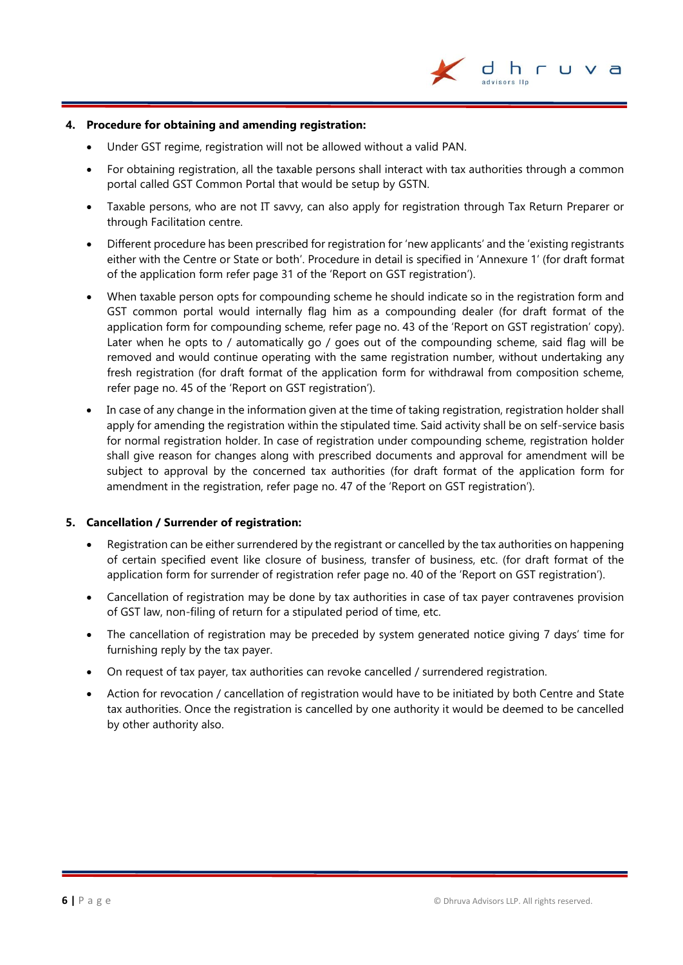

#### **4. Procedure for obtaining and amending registration:**

- Under GST regime, registration will not be allowed without a valid PAN.
- For obtaining registration, all the taxable persons shall interact with tax authorities through a common portal called GST Common Portal that would be setup by GSTN.
- Taxable persons, who are not IT savvy, can also apply for registration through Tax Return Preparer or through Facilitation centre.
- Different procedure has been prescribed for registration for 'new applicants' and the 'existing registrants either with the Centre or State or both'. Procedure in detail is specified in 'Annexure 1' (for draft format of the application form refer page 31 of the 'Report on GST registration').
- When taxable person opts for compounding scheme he should indicate so in the registration form and GST common portal would internally flag him as a compounding dealer (for draft format of the application form for compounding scheme, refer page no. 43 of the 'Report on GST registration' copy). Later when he opts to / automatically go / goes out of the compounding scheme, said flag will be removed and would continue operating with the same registration number, without undertaking any fresh registration (for draft format of the application form for withdrawal from composition scheme, refer page no. 45 of the 'Report on GST registration').
- In case of any change in the information given at the time of taking registration, registration holder shall apply for amending the registration within the stipulated time. Said activity shall be on self-service basis for normal registration holder. In case of registration under compounding scheme, registration holder shall give reason for changes along with prescribed documents and approval for amendment will be subject to approval by the concerned tax authorities (for draft format of the application form for amendment in the registration, refer page no. 47 of the 'Report on GST registration').

#### **5. Cancellation / Surrender of registration:**

- Registration can be either surrendered by the registrant or cancelled by the tax authorities on happening of certain specified event like closure of business, transfer of business, etc. (for draft format of the application form for surrender of registration refer page no. 40 of the 'Report on GST registration').
- Cancellation of registration may be done by tax authorities in case of tax payer contravenes provision of GST law, non-filing of return for a stipulated period of time, etc.
- The cancellation of registration may be preceded by system generated notice giving 7 days' time for furnishing reply by the tax payer.
- On request of tax payer, tax authorities can revoke cancelled / surrendered registration.
- Action for revocation / cancellation of registration would have to be initiated by both Centre and State tax authorities. Once the registration is cancelled by one authority it would be deemed to be cancelled by other authority also.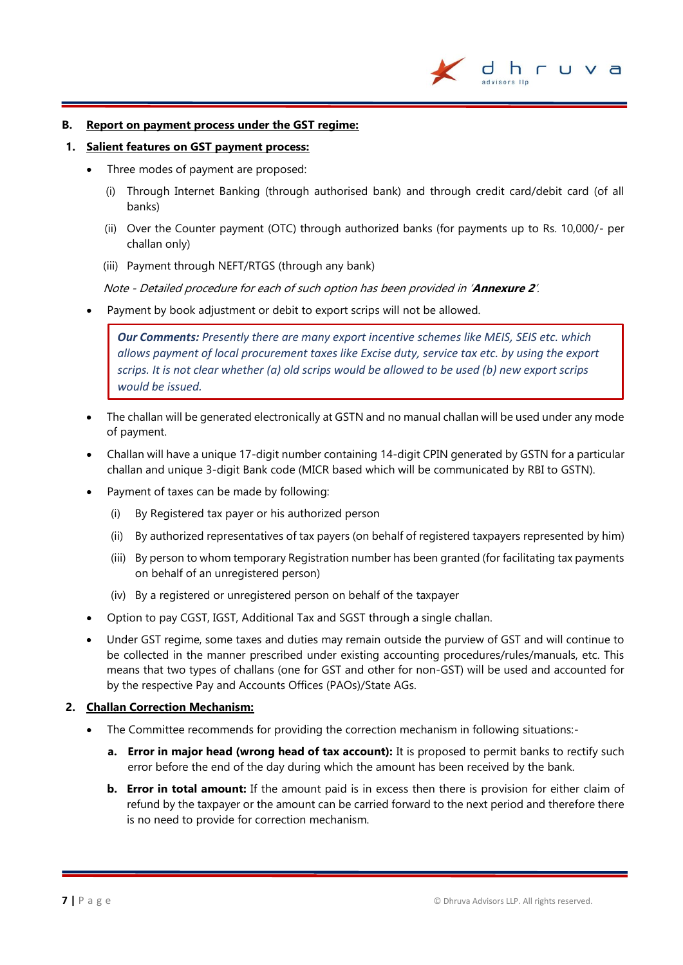

#### **B. Report on payment process under the GST regime:**

#### **1. Salient features on GST payment process:**

- Three modes of payment are proposed:
	- (i) Through Internet Banking (through authorised bank) and through credit card/debit card (of all banks)
	- (ii) Over the Counter payment (OTC) through authorized banks (for payments up to Rs. 10,000/- per challan only)
	- (iii) Payment through NEFT/RTGS (through any bank)

Note - Detailed procedure for each of such option has been provided in '**Annexure 2**'.

Payment by book adjustment or debit to export scrips will not be allowed.

*Our Comments: Presently there are many export incentive schemes like MEIS, SEIS etc. which allows payment of local procurement taxes like Excise duty, service tax etc. by using the export scrips. It is not clear whether (a) old scrips would be allowed to be used (b) new export scrips would be issued.*

- The challan will be generated electronically at GSTN and no manual challan will be used under any mode of payment.
- Challan will have a unique 17-digit number containing 14-digit CPIN generated by GSTN for a particular challan and unique 3-digit Bank code (MICR based which will be communicated by RBI to GSTN).
- Payment of taxes can be made by following:
	- (i) By Registered tax payer or his authorized person
	- (ii) By authorized representatives of tax payers (on behalf of registered taxpayers represented by him)
	- (iii) By person to whom temporary Registration number has been granted (for facilitating tax payments on behalf of an unregistered person)
	- (iv) By a registered or unregistered person on behalf of the taxpayer
- Option to pay CGST, IGST, Additional Tax and SGST through a single challan.
- Under GST regime, some taxes and duties may remain outside the purview of GST and will continue to be collected in the manner prescribed under existing accounting procedures/rules/manuals, etc. This means that two types of challans (one for GST and other for non-GST) will be used and accounted for by the respective Pay and Accounts Offices (PAOs)/State AGs.

#### **2. Challan Correction Mechanism:**

- The Committee recommends for providing the correction mechanism in following situations:
	- **a. Error in major head (wrong head of tax account):** It is proposed to permit banks to rectify such error before the end of the day during which the amount has been received by the bank.
	- **b. Error in total amount:** If the amount paid is in excess then there is provision for either claim of refund by the taxpayer or the amount can be carried forward to the next period and therefore there is no need to provide for correction mechanism.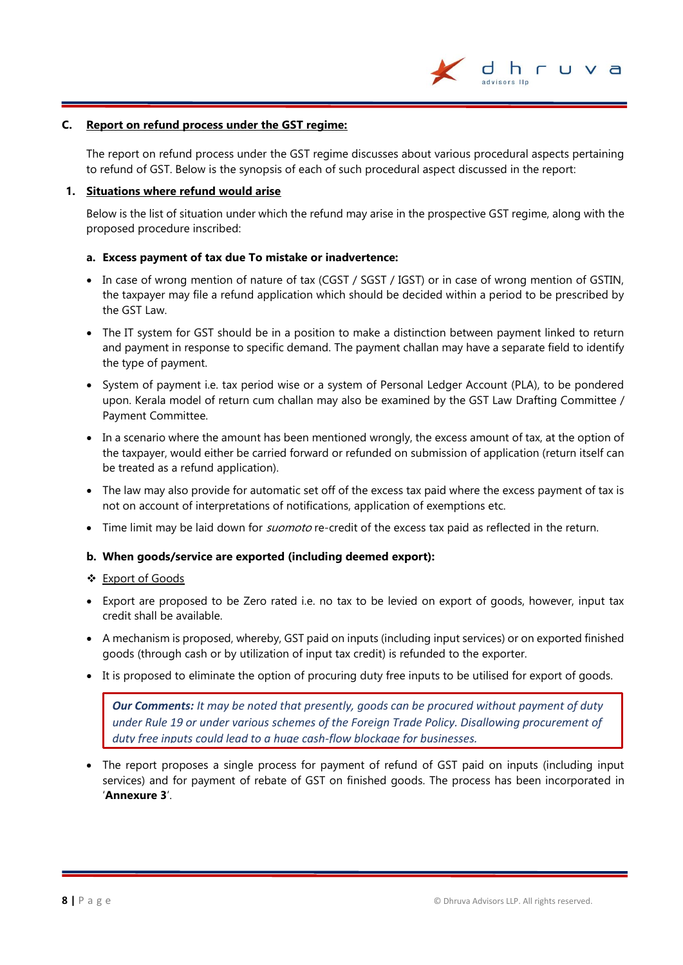

#### **C. Report on refund process under the GST regime:**

The report on refund process under the GST regime discusses about various procedural aspects pertaining to refund of GST. Below is the synopsis of each of such procedural aspect discussed in the report:

#### **1. Situations where refund would arise**

Below is the list of situation under which the refund may arise in the prospective GST regime, along with the proposed procedure inscribed:

#### **a. Excess payment of tax due To mistake or inadvertence:**

- In case of wrong mention of nature of tax (CGST / SGST / IGST) or in case of wrong mention of GSTIN, the taxpayer may file a refund application which should be decided within a period to be prescribed by the GST Law.
- The IT system for GST should be in a position to make a distinction between payment linked to return and payment in response to specific demand. The payment challan may have a separate field to identify the type of payment.
- System of payment i.e. tax period wise or a system of Personal Ledger Account (PLA), to be pondered upon. Kerala model of return cum challan may also be examined by the GST Law Drafting Committee / Payment Committee.
- In a scenario where the amount has been mentioned wrongly, the excess amount of tax, at the option of the taxpayer, would either be carried forward or refunded on submission of application (return itself can be treated as a refund application).
- The law may also provide for automatic set off of the excess tax paid where the excess payment of tax is not on account of interpretations of notifications, application of exemptions etc.
- Time limit may be laid down for *suomoto* re-credit of the excess tax paid as reflected in the return.

#### **b. When goods/service are exported (including deemed export):**

#### Export of Goods

- Export are proposed to be Zero rated i.e. no tax to be levied on export of goods, however, input tax credit shall be available.
- A mechanism is proposed, whereby, GST paid on inputs (including input services) or on exported finished goods (through cash or by utilization of input tax credit) is refunded to the exporter.
- It is proposed to eliminate the option of procuring duty free inputs to be utilised for export of goods.

*Our Comments: It may be noted that presently, goods can be procured without payment of duty under Rule 19 or under various schemes of the Foreign Trade Policy. Disallowing procurement of duty free inputs could lead to a huge cash-flow blockage for businesses.*

• The report proposes a single process for payment of refund of GST paid on inputs (including input services) and for payment of rebate of GST on finished goods. The process has been incorporated in '**Annexure 3**'.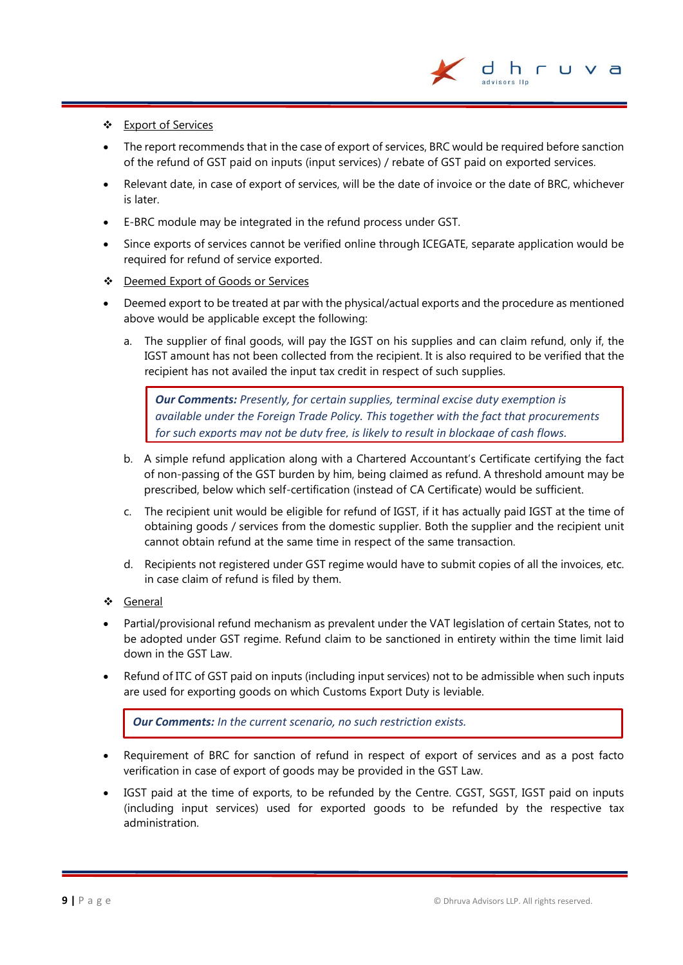

#### Export of Services

- The report recommends that in the case of export of services, BRC would be required before sanction of the refund of GST paid on inputs (input services) / rebate of GST paid on exported services.
- Relevant date, in case of export of services, will be the date of invoice or the date of BRC, whichever is later.
- E-BRC module may be integrated in the refund process under GST.
- Since exports of services cannot be verified online through ICEGATE, separate application would be required for refund of service exported.
- Deemed Export of Goods or Services
- Deemed export to be treated at par with the physical/actual exports and the procedure as mentioned above would be applicable except the following:
	- a. The supplier of final goods, will pay the IGST on his supplies and can claim refund, only if, the IGST amount has not been collected from the recipient. It is also required to be verified that the recipient has not availed the input tax credit in respect of such supplies.

*Our Comments: Presently, for certain supplies, terminal excise duty exemption is available under the Foreign Trade Policy. This together with the fact that procurements for such exports may not be duty free, is likely to result in blockage of cash flows.*

- b. A simple refund application along with a Chartered Accountant's Certificate certifying the fact of non-passing of the GST burden by him, being claimed as refund. A threshold amount may be prescribed, below which self-certification (instead of CA Certificate) would be sufficient.
- c. The recipient unit would be eligible for refund of IGST, if it has actually paid IGST at the time of obtaining goods / services from the domestic supplier. Both the supplier and the recipient unit cannot obtain refund at the same time in respect of the same transaction.
- d. Recipients not registered under GST regime would have to submit copies of all the invoices, etc. in case claim of refund is filed by them.
- General
- Partial/provisional refund mechanism as prevalent under the VAT legislation of certain States, not to be adopted under GST regime. Refund claim to be sanctioned in entirety within the time limit laid down in the GST Law.
- Refund of ITC of GST paid on inputs (including input services) not to be admissible when such inputs are used for exporting goods on which Customs Export Duty is leviable.

*Our Comments: In the current scenario, no such restriction exists.*

- Requirement of BRC for sanction of refund in respect of export of services and as a post facto verification in case of export of goods may be provided in the GST Law.
- IGST paid at the time of exports, to be refunded by the Centre. CGST, SGST, IGST paid on inputs (including input services) used for exported goods to be refunded by the respective tax administration.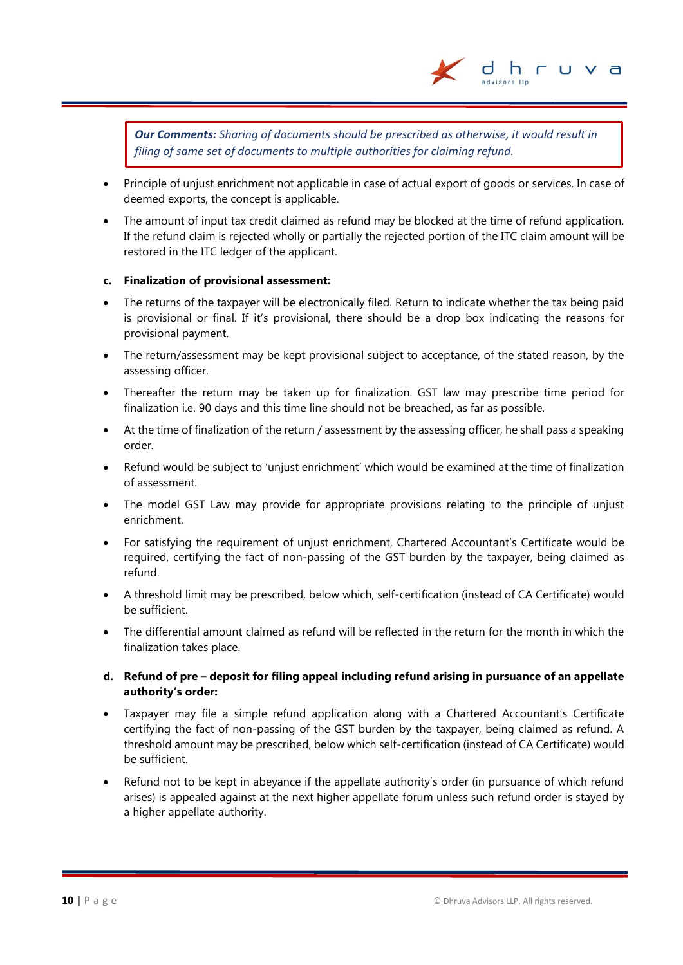

*Our Comments: Sharing of documents should be prescribed as otherwise, it would result in filing of same set of documents to multiple authorities for claiming refund.*

- Principle of unjust enrichment not applicable in case of actual export of goods or services. In case of deemed exports, the concept is applicable.
- The amount of input tax credit claimed as refund may be blocked at the time of refund application. If the refund claim is rejected wholly or partially the rejected portion of the ITC claim amount will be restored in the ITC ledger of the applicant.

#### **c. Finalization of provisional assessment:**

- The returns of the taxpayer will be electronically filed. Return to indicate whether the tax being paid is provisional or final. If it's provisional, there should be a drop box indicating the reasons for provisional payment.
- The return/assessment may be kept provisional subject to acceptance, of the stated reason, by the assessing officer.
- Thereafter the return may be taken up for finalization. GST law may prescribe time period for finalization i.e. 90 days and this time line should not be breached, as far as possible.
- At the time of finalization of the return / assessment by the assessing officer, he shall pass a speaking order.
- Refund would be subject to 'unjust enrichment' which would be examined at the time of finalization of assessment.
- The model GST Law may provide for appropriate provisions relating to the principle of unjust enrichment.
- For satisfying the requirement of unjust enrichment, Chartered Accountant's Certificate would be required, certifying the fact of non-passing of the GST burden by the taxpayer, being claimed as refund.
- A threshold limit may be prescribed, below which, self-certification (instead of CA Certificate) would be sufficient.
- The differential amount claimed as refund will be reflected in the return for the month in which the finalization takes place.
- **d. Refund of pre – deposit for filing appeal including refund arising in pursuance of an appellate authority's order:**
- Taxpayer may file a simple refund application along with a Chartered Accountant's Certificate certifying the fact of non-passing of the GST burden by the taxpayer, being claimed as refund. A threshold amount may be prescribed, below which self-certification (instead of CA Certificate) would be sufficient.
- Refund not to be kept in abeyance if the appellate authority's order (in pursuance of which refund arises) is appealed against at the next higher appellate forum unless such refund order is stayed by a higher appellate authority.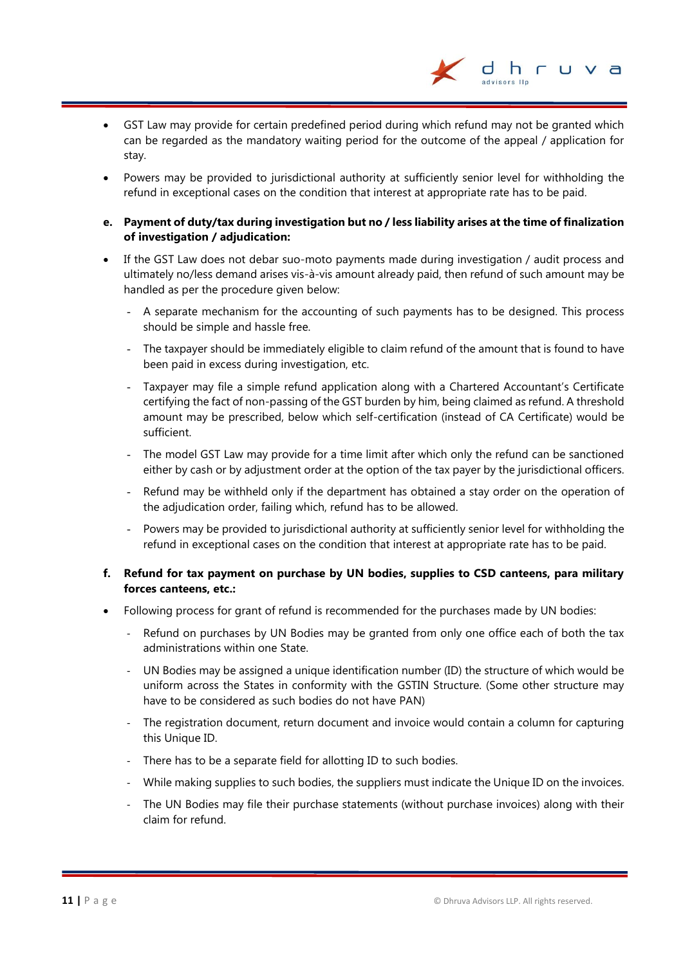- GST Law may provide for certain predefined period during which refund may not be granted which can be regarded as the mandatory waiting period for the outcome of the appeal / application for stay.
- Powers may be provided to jurisdictional authority at sufficiently senior level for withholding the refund in exceptional cases on the condition that interest at appropriate rate has to be paid.
- **e. Payment of duty/tax during investigation but no / less liability arises at the time of finalization of investigation / adjudication:**
- If the GST Law does not debar suo-moto payments made during investigation / audit process and ultimately no/less demand arises vis-à-vis amount already paid, then refund of such amount may be handled as per the procedure given below:
	- A separate mechanism for the accounting of such payments has to be designed. This process should be simple and hassle free.
	- The taxpayer should be immediately eligible to claim refund of the amount that is found to have been paid in excess during investigation, etc.
	- Taxpayer may file a simple refund application along with a Chartered Accountant's Certificate certifying the fact of non-passing of the GST burden by him, being claimed as refund. A threshold amount may be prescribed, below which self-certification (instead of CA Certificate) would be sufficient.
	- The model GST Law may provide for a time limit after which only the refund can be sanctioned either by cash or by adjustment order at the option of the tax payer by the jurisdictional officers.
	- Refund may be withheld only if the department has obtained a stay order on the operation of the adjudication order, failing which, refund has to be allowed.
	- Powers may be provided to jurisdictional authority at sufficiently senior level for withholding the refund in exceptional cases on the condition that interest at appropriate rate has to be paid.

#### **f. Refund for tax payment on purchase by UN bodies, supplies to CSD canteens, para military forces canteens, etc.:**

- Following process for grant of refund is recommended for the purchases made by UN bodies:
	- Refund on purchases by UN Bodies may be granted from only one office each of both the tax administrations within one State.
	- UN Bodies may be assigned a unique identification number (ID) the structure of which would be uniform across the States in conformity with the GSTIN Structure. (Some other structure may have to be considered as such bodies do not have PAN)
	- The registration document, return document and invoice would contain a column for capturing this Unique ID.
	- There has to be a separate field for allotting ID to such bodies.
	- While making supplies to such bodies, the suppliers must indicate the Unique ID on the invoices.
	- The UN Bodies may file their purchase statements (without purchase invoices) along with their claim for refund.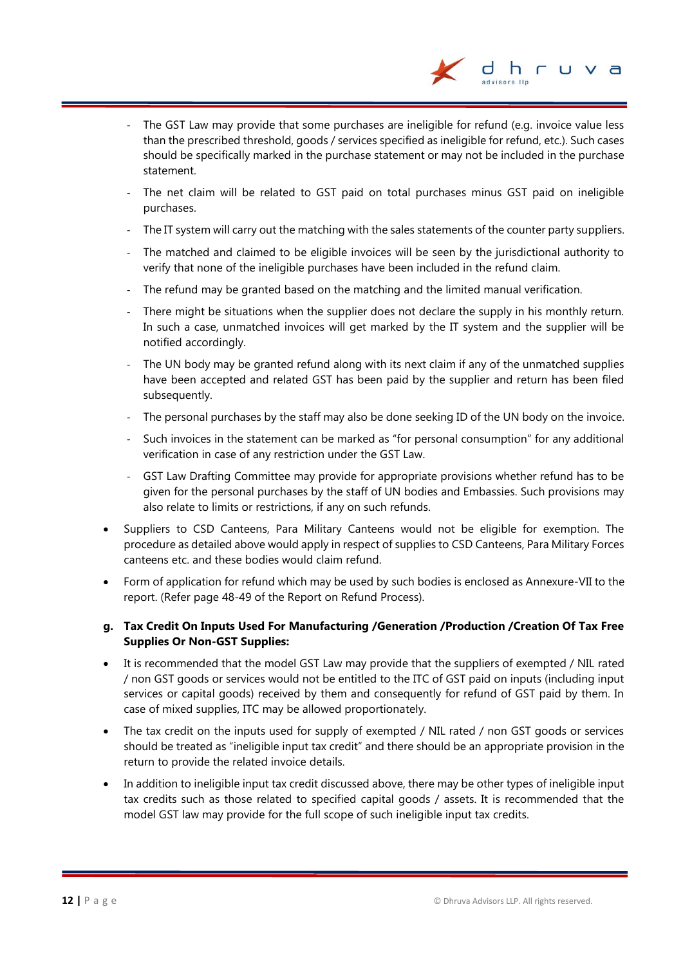The GST Law may provide that some purchases are ineligible for refund (e.g. invoice value less than the prescribed threshold, goods / services specified as ineligible for refund, etc.). Such cases should be specifically marked in the purchase statement or may not be included in the purchase statement.

dhr

- The net claim will be related to GST paid on total purchases minus GST paid on ineligible purchases.
- The IT system will carry out the matching with the sales statements of the counter party suppliers.
- The matched and claimed to be eligible invoices will be seen by the jurisdictional authority to verify that none of the ineligible purchases have been included in the refund claim.
- The refund may be granted based on the matching and the limited manual verification.
- There might be situations when the supplier does not declare the supply in his monthly return. In such a case, unmatched invoices will get marked by the IT system and the supplier will be notified accordingly.
- The UN body may be granted refund along with its next claim if any of the unmatched supplies have been accepted and related GST has been paid by the supplier and return has been filed subsequently.
- The personal purchases by the staff may also be done seeking ID of the UN body on the invoice.
- Such invoices in the statement can be marked as "for personal consumption" for any additional verification in case of any restriction under the GST Law.
- GST Law Drafting Committee may provide for appropriate provisions whether refund has to be given for the personal purchases by the staff of UN bodies and Embassies. Such provisions may also relate to limits or restrictions, if any on such refunds.
- Suppliers to CSD Canteens, Para Military Canteens would not be eligible for exemption. The procedure as detailed above would apply in respect of supplies to CSD Canteens, Para Military Forces canteens etc. and these bodies would claim refund.
- Form of application for refund which may be used by such bodies is enclosed as Annexure-VII to the report. (Refer page 48-49 of the Report on Refund Process).

#### **g. Tax Credit On Inputs Used For Manufacturing /Generation /Production /Creation Of Tax Free Supplies Or Non-GST Supplies:**

- It is recommended that the model GST Law may provide that the suppliers of exempted / NIL rated / non GST goods or services would not be entitled to the ITC of GST paid on inputs (including input services or capital goods) received by them and consequently for refund of GST paid by them. In case of mixed supplies, ITC may be allowed proportionately.
- The tax credit on the inputs used for supply of exempted / NIL rated / non GST goods or services should be treated as "ineligible input tax credit" and there should be an appropriate provision in the return to provide the related invoice details.
- In addition to ineligible input tax credit discussed above, there may be other types of ineligible input tax credits such as those related to specified capital goods / assets. It is recommended that the model GST law may provide for the full scope of such ineligible input tax credits.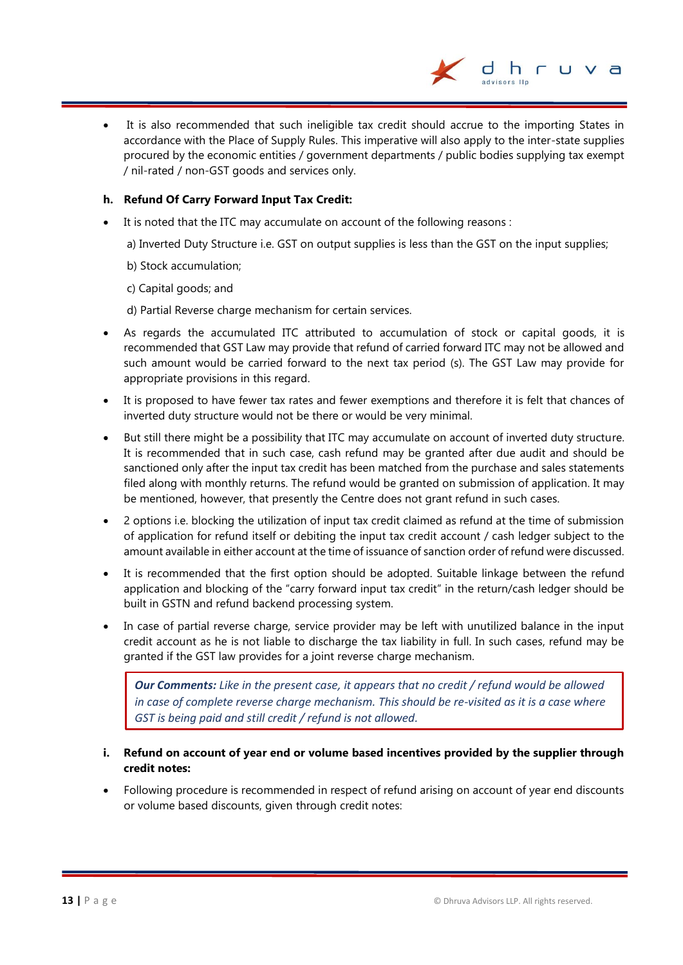

 It is also recommended that such ineligible tax credit should accrue to the importing States in accordance with the Place of Supply Rules. This imperative will also apply to the inter-state supplies procured by the economic entities / government departments / public bodies supplying tax exempt / nil-rated / non-GST goods and services only.

#### **h. Refund Of Carry Forward Input Tax Credit:**

It is noted that the ITC may accumulate on account of the following reasons :

a) Inverted Duty Structure i.e. GST on output supplies is less than the GST on the input supplies;

- b) Stock accumulation;
- c) Capital goods; and
- d) Partial Reverse charge mechanism for certain services.
- As regards the accumulated ITC attributed to accumulation of stock or capital goods, it is recommended that GST Law may provide that refund of carried forward ITC may not be allowed and such amount would be carried forward to the next tax period (s). The GST Law may provide for appropriate provisions in this regard.
- It is proposed to have fewer tax rates and fewer exemptions and therefore it is felt that chances of inverted duty structure would not be there or would be very minimal.
- But still there might be a possibility that ITC may accumulate on account of inverted duty structure. It is recommended that in such case, cash refund may be granted after due audit and should be sanctioned only after the input tax credit has been matched from the purchase and sales statements filed along with monthly returns. The refund would be granted on submission of application. It may be mentioned, however, that presently the Centre does not grant refund in such cases.
- 2 options i.e. blocking the utilization of input tax credit claimed as refund at the time of submission of application for refund itself or debiting the input tax credit account / cash ledger subject to the amount available in either account at the time of issuance of sanction order of refund were discussed.
- It is recommended that the first option should be adopted. Suitable linkage between the refund application and blocking of the "carry forward input tax credit" in the return/cash ledger should be built in GSTN and refund backend processing system.
- In case of partial reverse charge, service provider may be left with unutilized balance in the input credit account as he is not liable to discharge the tax liability in full. In such cases, refund may be granted if the GST law provides for a joint reverse charge mechanism.

*Our Comments: Like in the present case, it appears that no credit / refund would be allowed in case of complete reverse charge mechanism. This should be re-visited as it is a case where GST is being paid and still credit / refund is not allowed.*

- **i. Refund on account of year end or volume based incentives provided by the supplier through credit notes:**
- Following procedure is recommended in respect of refund arising on account of year end discounts or volume based discounts, given through credit notes: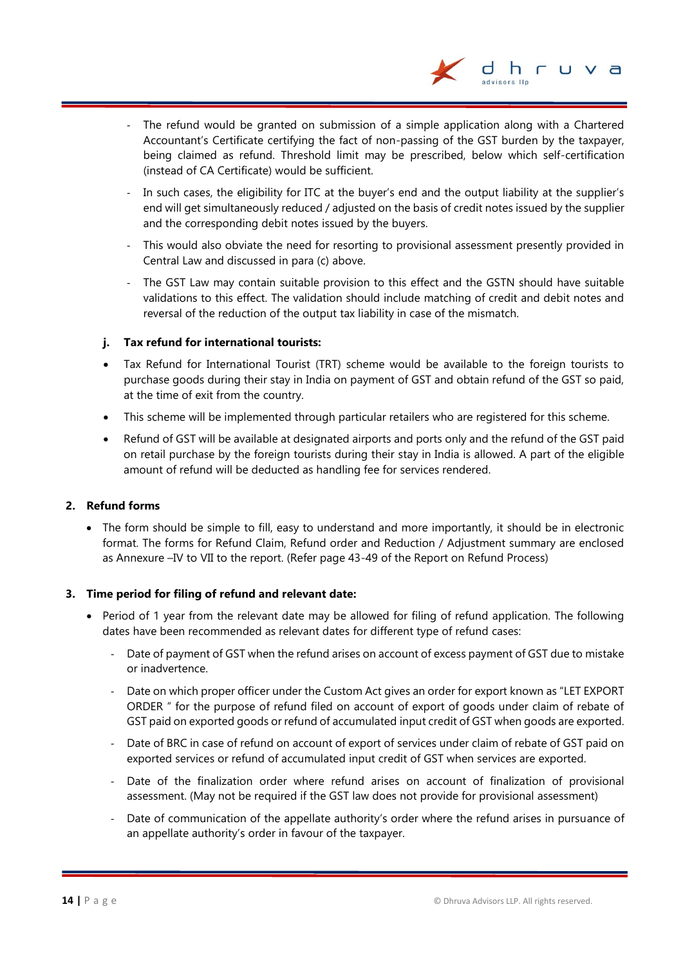

- The refund would be granted on submission of a simple application along with a Chartered Accountant's Certificate certifying the fact of non-passing of the GST burden by the taxpayer, being claimed as refund. Threshold limit may be prescribed, below which self-certification (instead of CA Certificate) would be sufficient.
- In such cases, the eligibility for ITC at the buyer's end and the output liability at the supplier's end will get simultaneously reduced / adjusted on the basis of credit notes issued by the supplier and the corresponding debit notes issued by the buyers.
- This would also obviate the need for resorting to provisional assessment presently provided in Central Law and discussed in para (c) above.
- The GST Law may contain suitable provision to this effect and the GSTN should have suitable validations to this effect. The validation should include matching of credit and debit notes and reversal of the reduction of the output tax liability in case of the mismatch.

#### **j. Tax refund for international tourists:**

- Tax Refund for International Tourist (TRT) scheme would be available to the foreign tourists to purchase goods during their stay in India on payment of GST and obtain refund of the GST so paid, at the time of exit from the country.
- This scheme will be implemented through particular retailers who are registered for this scheme.
- Refund of GST will be available at designated airports and ports only and the refund of the GST paid on retail purchase by the foreign tourists during their stay in India is allowed. A part of the eligible amount of refund will be deducted as handling fee for services rendered.

#### **2. Refund forms**

• The form should be simple to fill, easy to understand and more importantly, it should be in electronic format. The forms for Refund Claim, Refund order and Reduction / Adjustment summary are enclosed as Annexure –IV to VII to the report. (Refer page 43-49 of the Report on Refund Process)

#### **3. Time period for filing of refund and relevant date:**

- Period of 1 year from the relevant date may be allowed for filing of refund application. The following dates have been recommended as relevant dates for different type of refund cases:
	- Date of payment of GST when the refund arises on account of excess payment of GST due to mistake or inadvertence.
	- Date on which proper officer under the Custom Act gives an order for export known as "LET EXPORT ORDER " for the purpose of refund filed on account of export of goods under claim of rebate of GST paid on exported goods or refund of accumulated input credit of GST when goods are exported.
	- Date of BRC in case of refund on account of export of services under claim of rebate of GST paid on exported services or refund of accumulated input credit of GST when services are exported.
	- Date of the finalization order where refund arises on account of finalization of provisional assessment. (May not be required if the GST law does not provide for provisional assessment)
	- Date of communication of the appellate authority's order where the refund arises in pursuance of an appellate authority's order in favour of the taxpayer.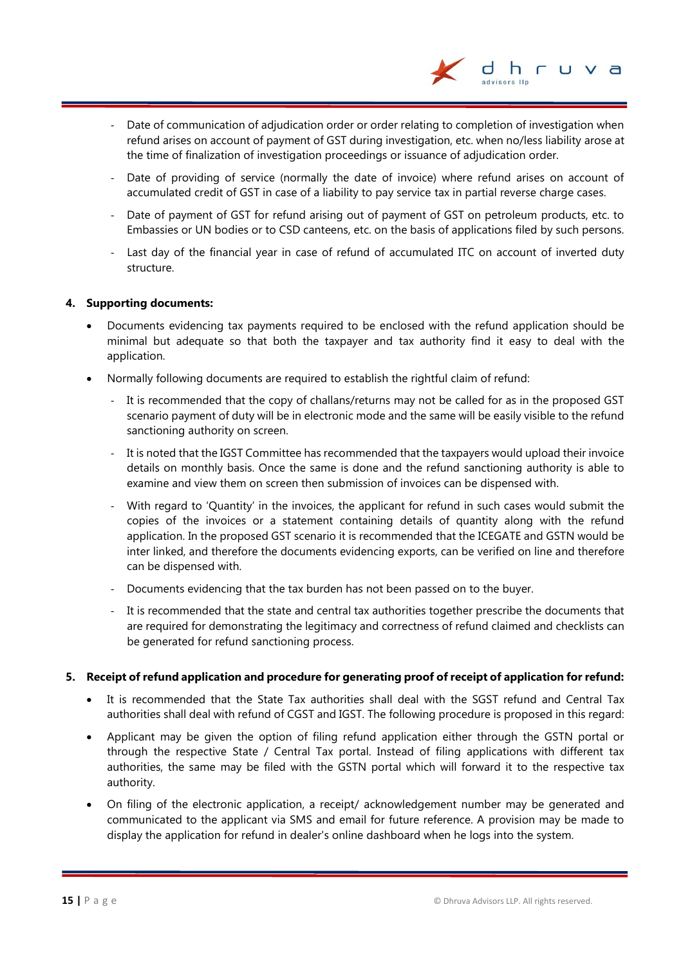Date of communication of adjudication order or order relating to completion of investigation when refund arises on account of payment of GST during investigation, etc. when no/less liability arose at the time of finalization of investigation proceedings or issuance of adjudication order.

dhr

- Date of providing of service (normally the date of invoice) where refund arises on account of accumulated credit of GST in case of a liability to pay service tax in partial reverse charge cases.
- Date of payment of GST for refund arising out of payment of GST on petroleum products, etc. to Embassies or UN bodies or to CSD canteens, etc. on the basis of applications filed by such persons.
- Last day of the financial year in case of refund of accumulated ITC on account of inverted duty structure.

#### **4. Supporting documents:**

- Documents evidencing tax payments required to be enclosed with the refund application should be minimal but adequate so that both the taxpayer and tax authority find it easy to deal with the application.
- Normally following documents are required to establish the rightful claim of refund:
	- It is recommended that the copy of challans/returns may not be called for as in the proposed GST scenario payment of duty will be in electronic mode and the same will be easily visible to the refund sanctioning authority on screen.
	- It is noted that the IGST Committee has recommended that the taxpayers would upload their invoice details on monthly basis. Once the same is done and the refund sanctioning authority is able to examine and view them on screen then submission of invoices can be dispensed with.
	- With regard to 'Quantity' in the invoices, the applicant for refund in such cases would submit the copies of the invoices or a statement containing details of quantity along with the refund application. In the proposed GST scenario it is recommended that the ICEGATE and GSTN would be inter linked, and therefore the documents evidencing exports, can be verified on line and therefore can be dispensed with.
	- Documents evidencing that the tax burden has not been passed on to the buyer.
	- It is recommended that the state and central tax authorities together prescribe the documents that are required for demonstrating the legitimacy and correctness of refund claimed and checklists can be generated for refund sanctioning process.

#### **5. Receipt of refund application and procedure for generating proof of receipt of application for refund:**

- It is recommended that the State Tax authorities shall deal with the SGST refund and Central Tax authorities shall deal with refund of CGST and IGST. The following procedure is proposed in this regard:
- Applicant may be given the option of filing refund application either through the GSTN portal or through the respective State / Central Tax portal. Instead of filing applications with different tax authorities, the same may be filed with the GSTN portal which will forward it to the respective tax authority.
- On filing of the electronic application, a receipt/ acknowledgement number may be generated and communicated to the applicant via SMS and email for future reference. A provision may be made to display the application for refund in dealer's online dashboard when he logs into the system.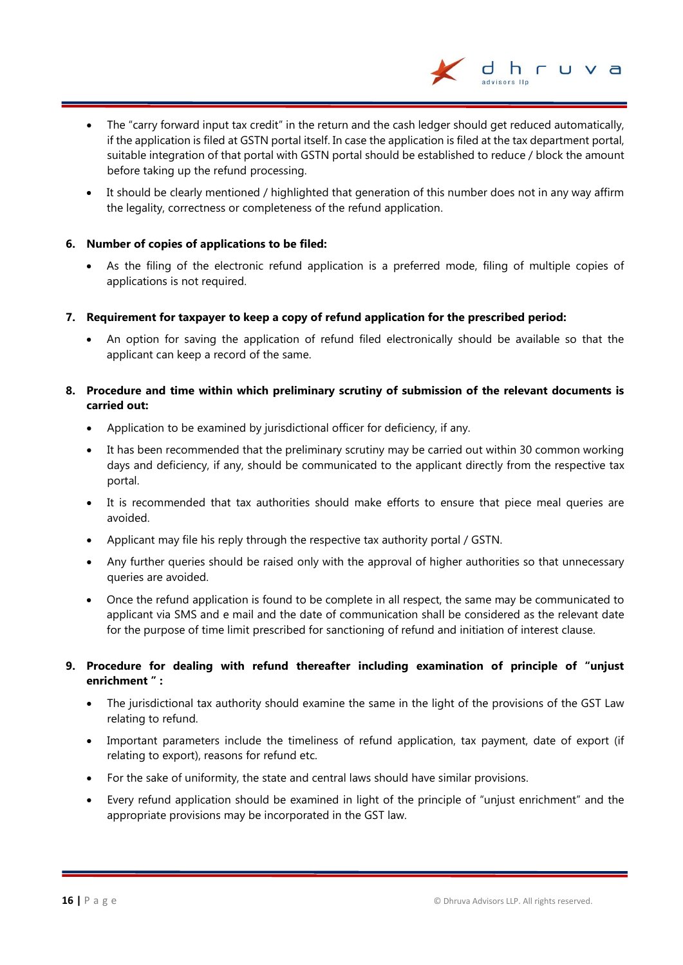The "carry forward input tax credit" in the return and the cash ledger should get reduced automatically, if the application is filed at GSTN portal itself. In case the application is filed at the tax department portal, suitable integration of that portal with GSTN portal should be established to reduce / block the amount before taking up the refund processing.

dhr

 It should be clearly mentioned / highlighted that generation of this number does not in any way affirm the legality, correctness or completeness of the refund application.

#### **6. Number of copies of applications to be filed:**

- As the filing of the electronic refund application is a preferred mode, filing of multiple copies of applications is not required.
- **7. Requirement for taxpayer to keep a copy of refund application for the prescribed period:**
	- An option for saving the application of refund filed electronically should be available so that the applicant can keep a record of the same.

#### **8. Procedure and time within which preliminary scrutiny of submission of the relevant documents is carried out:**

- Application to be examined by jurisdictional officer for deficiency, if any.
- It has been recommended that the preliminary scrutiny may be carried out within 30 common working days and deficiency, if any, should be communicated to the applicant directly from the respective tax portal.
- It is recommended that tax authorities should make efforts to ensure that piece meal queries are avoided.
- Applicant may file his reply through the respective tax authority portal / GSTN.
- Any further queries should be raised only with the approval of higher authorities so that unnecessary queries are avoided.
- Once the refund application is found to be complete in all respect, the same may be communicated to applicant via SMS and e mail and the date of communication shall be considered as the relevant date for the purpose of time limit prescribed for sanctioning of refund and initiation of interest clause.

#### **9. Procedure for dealing with refund thereafter including examination of principle of "unjust enrichment " :**

- The jurisdictional tax authority should examine the same in the light of the provisions of the GST Law relating to refund.
- Important parameters include the timeliness of refund application, tax payment, date of export (if relating to export), reasons for refund etc.
- For the sake of uniformity, the state and central laws should have similar provisions.
- Every refund application should be examined in light of the principle of "unjust enrichment" and the appropriate provisions may be incorporated in the GST law.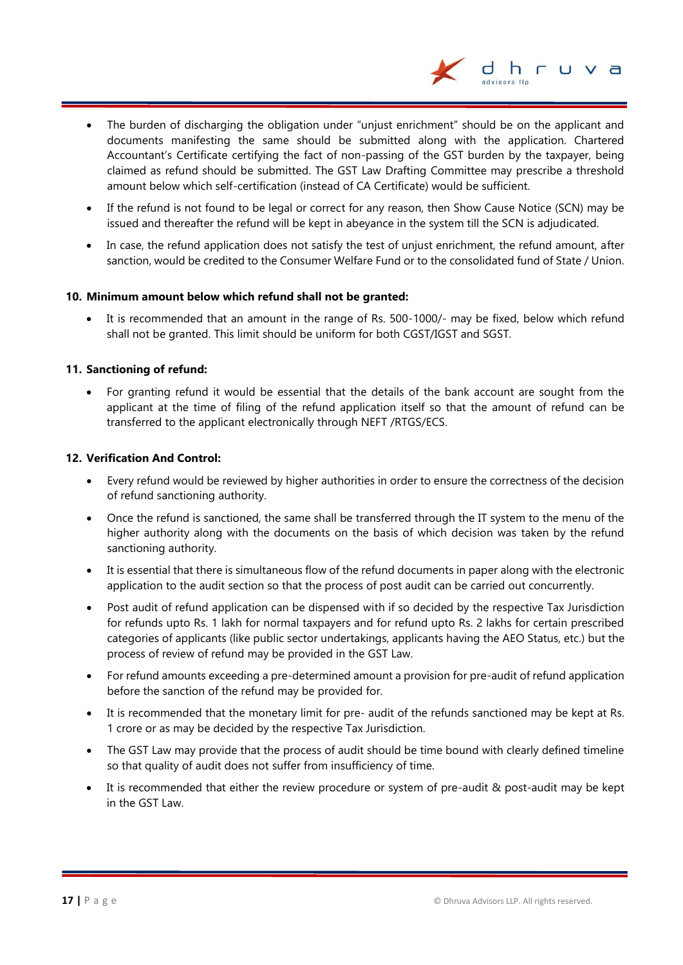

- The burden of discharging the obligation under "unjust enrichment" should be on the applicant and documents manifesting the same should be submitted along with the application. Chartered Accountant's Certificate certifying the fact of non-passing of the GST burden by the taxpayer, being claimed as refund should be submitted. The GST Law Drafting Committee may prescribe a threshold amount below which self-certification (instead of CA Certificate) would be sufficient.
- If the refund is not found to be legal or correct for any reason, then Show Cause Notice (SCN) may be issued and thereafter the refund will be kept in abeyance in the system till the SCN is adjudicated.
- In case, the refund application does not satisfy the test of unjust enrichment, the refund amount, after sanction, would be credited to the Consumer Welfare Fund or to the consolidated fund of State / Union.

#### **10. Minimum amount below which refund shall not be granted:**

 It is recommended that an amount in the range of Rs. 500-1000/- may be fixed, below which refund shall not be granted. This limit should be uniform for both CGST/IGST and SGST.

#### **11. Sanctioning of refund:**

• For granting refund it would be essential that the details of the bank account are sought from the applicant at the time of filing of the refund application itself so that the amount of refund can be transferred to the applicant electronically through NEFT /RTGS/ECS.

#### **12. Verification And Control:**

- Every refund would be reviewed by higher authorities in order to ensure the correctness of the decision of refund sanctioning authority.
- Once the refund is sanctioned, the same shall be transferred through the IT system to the menu of the higher authority along with the documents on the basis of which decision was taken by the refund sanctioning authority.
- It is essential that there is simultaneous flow of the refund documents in paper along with the electronic application to the audit section so that the process of post audit can be carried out concurrently.
- Post audit of refund application can be dispensed with if so decided by the respective Tax Jurisdiction for refunds upto Rs. 1 lakh for normal taxpayers and for refund upto Rs. 2 lakhs for certain prescribed categories of applicants (like public sector undertakings, applicants having the AEO Status, etc.) but the process of review of refund may be provided in the GST Law.
- For refund amounts exceeding a pre-determined amount a provision for pre-audit of refund application before the sanction of the refund may be provided for.
- It is recommended that the monetary limit for pre- audit of the refunds sanctioned may be kept at Rs. 1 crore or as may be decided by the respective Tax Jurisdiction.
- The GST Law may provide that the process of audit should be time bound with clearly defined timeline so that quality of audit does not suffer from insufficiency of time.
- It is recommended that either the review procedure or system of pre-audit & post-audit may be kept in the GST Law.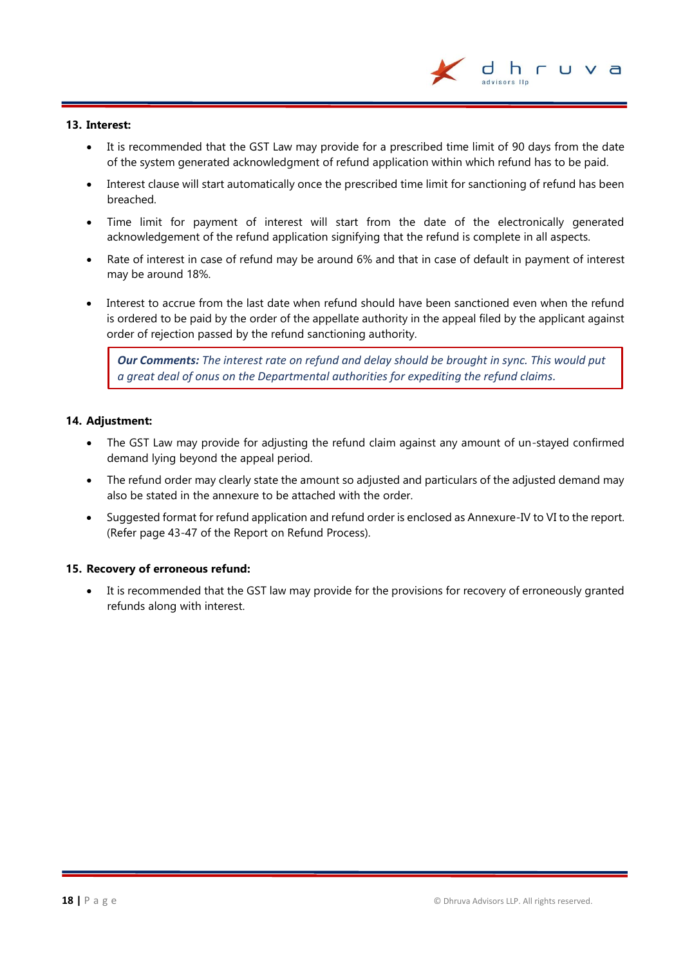

#### **13. Interest:**

- It is recommended that the GST Law may provide for a prescribed time limit of 90 days from the date of the system generated acknowledgment of refund application within which refund has to be paid.
- Interest clause will start automatically once the prescribed time limit for sanctioning of refund has been breached.
- Time limit for payment of interest will start from the date of the electronically generated acknowledgement of the refund application signifying that the refund is complete in all aspects.
- Rate of interest in case of refund may be around 6% and that in case of default in payment of interest may be around 18%.
- Interest to accrue from the last date when refund should have been sanctioned even when the refund is ordered to be paid by the order of the appellate authority in the appeal filed by the applicant against order of rejection passed by the refund sanctioning authority.

*Our Comments: The interest rate on refund and delay should be brought in sync. This would put a great deal of onus on the Departmental authorities for expediting the refund claims.*

#### **14. Adjustment:**

- The GST Law may provide for adjusting the refund claim against any amount of un-stayed confirmed demand lying beyond the appeal period.
- The refund order may clearly state the amount so adjusted and particulars of the adjusted demand may also be stated in the annexure to be attached with the order.
- Suggested format for refund application and refund order is enclosed as Annexure-IV to VI to the report. (Refer page 43-47 of the Report on Refund Process).

#### **15. Recovery of erroneous refund:**

 It is recommended that the GST law may provide for the provisions for recovery of erroneously granted refunds along with interest.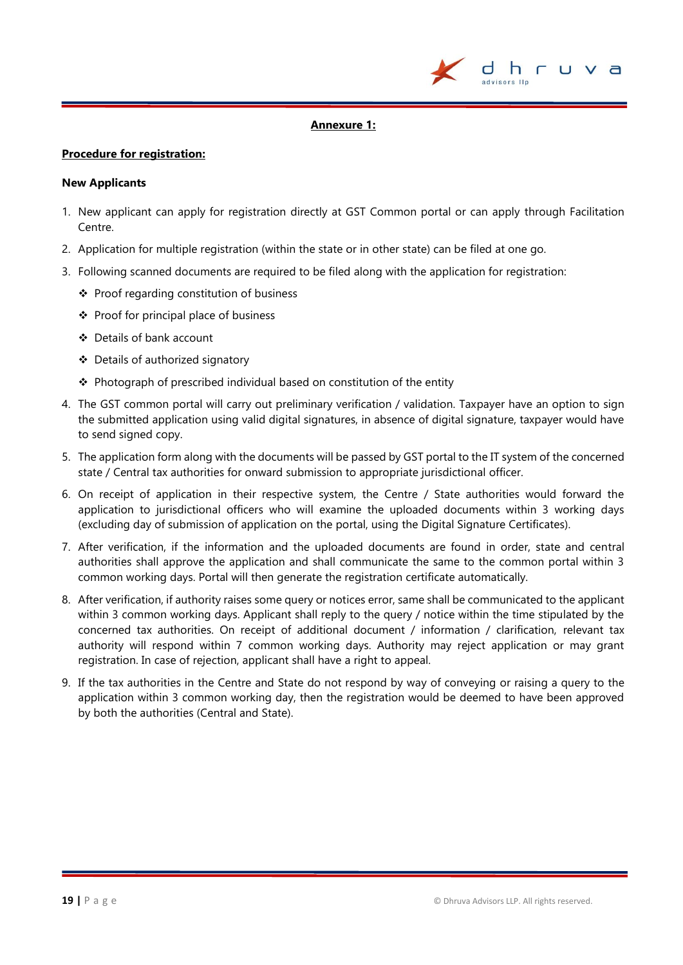

#### **Annexure 1:**

#### **Procedure for registration:**

#### **New Applicants**

- 1. New applicant can apply for registration directly at GST Common portal or can apply through Facilitation Centre.
- 2. Application for multiple registration (within the state or in other state) can be filed at one go.
- 3. Following scanned documents are required to be filed along with the application for registration:
	- Proof regarding constitution of business
	- $\div$  Proof for principal place of business
	- Details of bank account
	- Details of authorized signatory
	- $\triangle$  Photograph of prescribed individual based on constitution of the entity
- 4. The GST common portal will carry out preliminary verification / validation. Taxpayer have an option to sign the submitted application using valid digital signatures, in absence of digital signature, taxpayer would have to send signed copy.
- 5. The application form along with the documents will be passed by GST portal to the IT system of the concerned state / Central tax authorities for onward submission to appropriate jurisdictional officer.
- 6. On receipt of application in their respective system, the Centre / State authorities would forward the application to jurisdictional officers who will examine the uploaded documents within 3 working days (excluding day of submission of application on the portal, using the Digital Signature Certificates).
- 7. After verification, if the information and the uploaded documents are found in order, state and central authorities shall approve the application and shall communicate the same to the common portal within 3 common working days. Portal will then generate the registration certificate automatically.
- 8. After verification, if authority raises some query or notices error, same shall be communicated to the applicant within 3 common working days. Applicant shall reply to the query / notice within the time stipulated by the concerned tax authorities. On receipt of additional document / information / clarification, relevant tax authority will respond within 7 common working days. Authority may reject application or may grant registration. In case of rejection, applicant shall have a right to appeal.
- 9. If the tax authorities in the Centre and State do not respond by way of conveying or raising a query to the application within 3 common working day, then the registration would be deemed to have been approved by both the authorities (Central and State).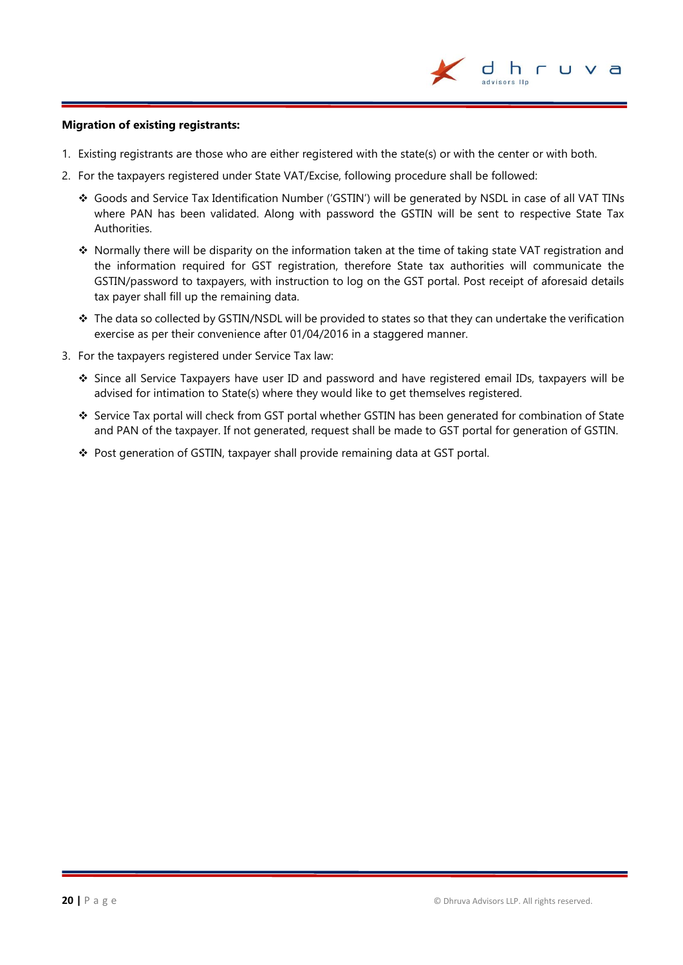

#### **Migration of existing registrants:**

- 1. Existing registrants are those who are either registered with the state(s) or with the center or with both.
- 2. For the taxpayers registered under State VAT/Excise, following procedure shall be followed:
	- Goods and Service Tax Identification Number ('GSTIN') will be generated by NSDL in case of all VAT TINs where PAN has been validated. Along with password the GSTIN will be sent to respective State Tax Authorities.
	- Normally there will be disparity on the information taken at the time of taking state VAT registration and the information required for GST registration, therefore State tax authorities will communicate the GSTIN/password to taxpayers, with instruction to log on the GST portal. Post receipt of aforesaid details tax payer shall fill up the remaining data.
	- \* The data so collected by GSTIN/NSDL will be provided to states so that they can undertake the verification exercise as per their convenience after 01/04/2016 in a staggered manner.
- 3. For the taxpayers registered under Service Tax law:
	- Since all Service Taxpayers have user ID and password and have registered email IDs, taxpayers will be advised for intimation to State(s) where they would like to get themselves registered.
	- Service Tax portal will check from GST portal whether GSTIN has been generated for combination of State and PAN of the taxpayer. If not generated, request shall be made to GST portal for generation of GSTIN.
	- \* Post generation of GSTIN, taxpayer shall provide remaining data at GST portal.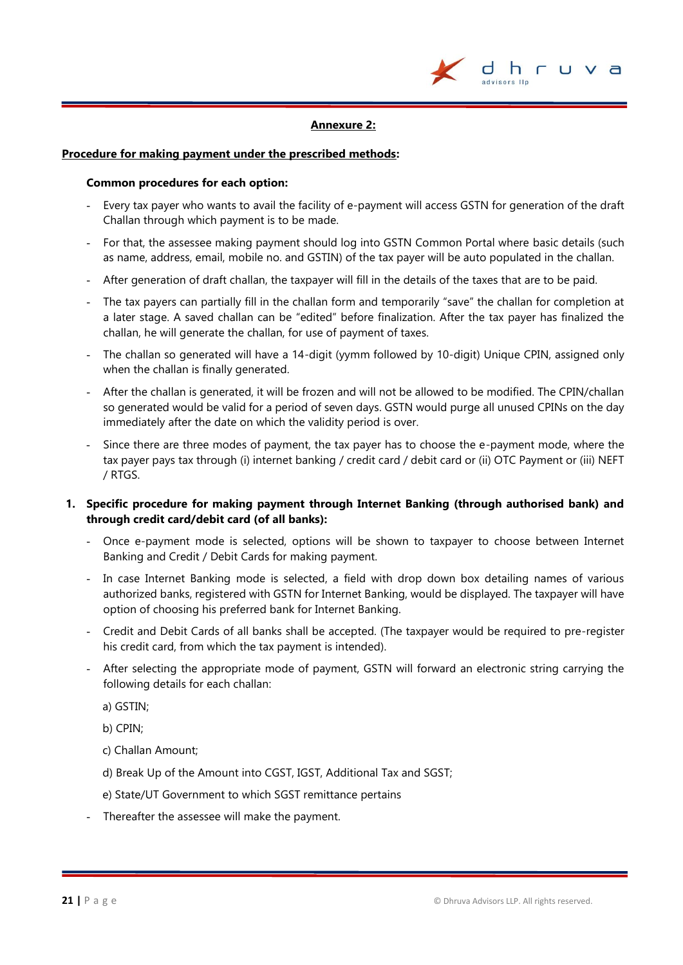

#### **Annexure 2:**

#### **Procedure for making payment under the prescribed methods:**

#### **Common procedures for each option:**

- Every tax payer who wants to avail the facility of e-payment will access GSTN for generation of the draft Challan through which payment is to be made.
- For that, the assessee making payment should log into GSTN Common Portal where basic details (such as name, address, email, mobile no. and GSTIN) of the tax payer will be auto populated in the challan.
- After generation of draft challan, the taxpayer will fill in the details of the taxes that are to be paid.
- The tax payers can partially fill in the challan form and temporarily "save" the challan for completion at a later stage. A saved challan can be "edited" before finalization. After the tax payer has finalized the challan, he will generate the challan, for use of payment of taxes.
- The challan so generated will have a 14-digit (yymm followed by 10-digit) Unique CPIN, assigned only when the challan is finally generated.
- After the challan is generated, it will be frozen and will not be allowed to be modified. The CPIN/challan so generated would be valid for a period of seven days. GSTN would purge all unused CPINs on the day immediately after the date on which the validity period is over.
- Since there are three modes of payment, the tax payer has to choose the e-payment mode, where the tax payer pays tax through (i) internet banking / credit card / debit card or (ii) OTC Payment or (iii) NEFT / RTGS.

#### **1. Specific procedure for making payment through Internet Banking (through authorised bank) and through credit card/debit card (of all banks):**

- Once e-payment mode is selected, options will be shown to taxpayer to choose between Internet Banking and Credit / Debit Cards for making payment.
- In case Internet Banking mode is selected, a field with drop down box detailing names of various authorized banks, registered with GSTN for Internet Banking, would be displayed. The taxpayer will have option of choosing his preferred bank for Internet Banking.
- Credit and Debit Cards of all banks shall be accepted. (The taxpayer would be required to pre-register his credit card, from which the tax payment is intended).
- After selecting the appropriate mode of payment, GSTN will forward an electronic string carrying the following details for each challan:

a) GSTIN;

b) CPIN;

- c) Challan Amount;
- d) Break Up of the Amount into CGST, IGST, Additional Tax and SGST;
- e) State/UT Government to which SGST remittance pertains
- Thereafter the assessee will make the payment.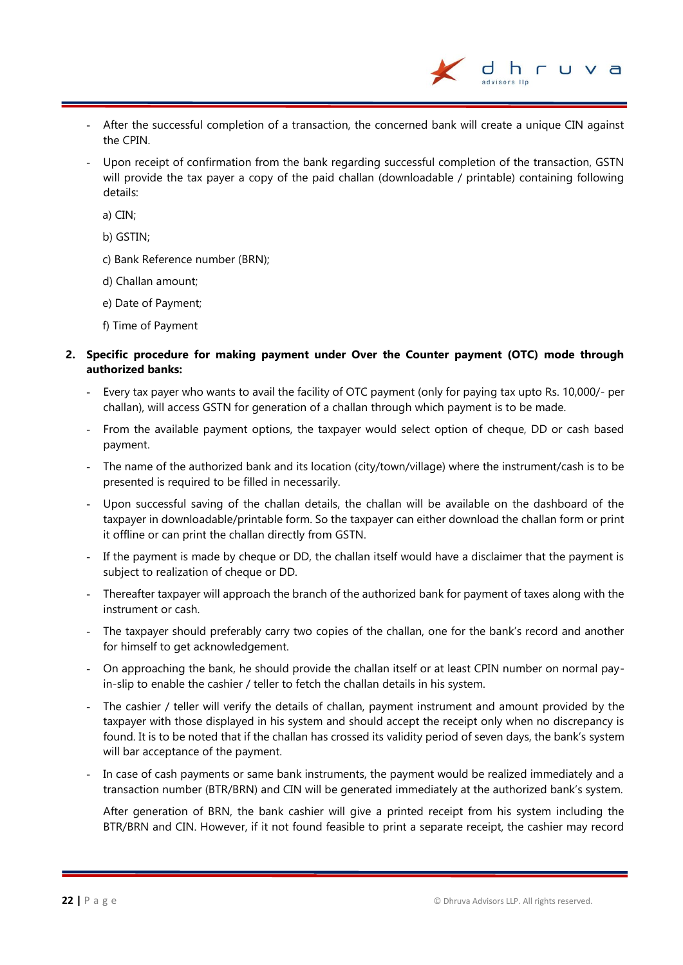- After the successful completion of a transaction, the concerned bank will create a unique CIN against the CPIN.
- Upon receipt of confirmation from the bank regarding successful completion of the transaction, GSTN will provide the tax payer a copy of the paid challan (downloadable / printable) containing following details:

a) CIN;

b) GSTIN;

- c) Bank Reference number (BRN);
- d) Challan amount;
- e) Date of Payment;
- f) Time of Payment

#### **2. Specific procedure for making payment under Over the Counter payment (OTC) mode through authorized banks:**

- Every tax payer who wants to avail the facility of OTC payment (only for paying tax upto Rs. 10,000/- per challan), will access GSTN for generation of a challan through which payment is to be made.
- From the available payment options, the taxpayer would select option of cheque, DD or cash based payment.
- The name of the authorized bank and its location (city/town/village) where the instrument/cash is to be presented is required to be filled in necessarily.
- Upon successful saving of the challan details, the challan will be available on the dashboard of the taxpayer in downloadable/printable form. So the taxpayer can either download the challan form or print it offline or can print the challan directly from GSTN.
- If the payment is made by cheque or DD, the challan itself would have a disclaimer that the payment is subject to realization of cheque or DD.
- Thereafter taxpayer will approach the branch of the authorized bank for payment of taxes along with the instrument or cash.
- The taxpayer should preferably carry two copies of the challan, one for the bank's record and another for himself to get acknowledgement.
- On approaching the bank, he should provide the challan itself or at least CPIN number on normal payin-slip to enable the cashier / teller to fetch the challan details in his system.
- The cashier / teller will verify the details of challan, payment instrument and amount provided by the taxpayer with those displayed in his system and should accept the receipt only when no discrepancy is found. It is to be noted that if the challan has crossed its validity period of seven days, the bank's system will bar acceptance of the payment.
- In case of cash payments or same bank instruments, the payment would be realized immediately and a transaction number (BTR/BRN) and CIN will be generated immediately at the authorized bank's system.

After generation of BRN, the bank cashier will give a printed receipt from his system including the BTR/BRN and CIN. However, if it not found feasible to print a separate receipt, the cashier may record

h r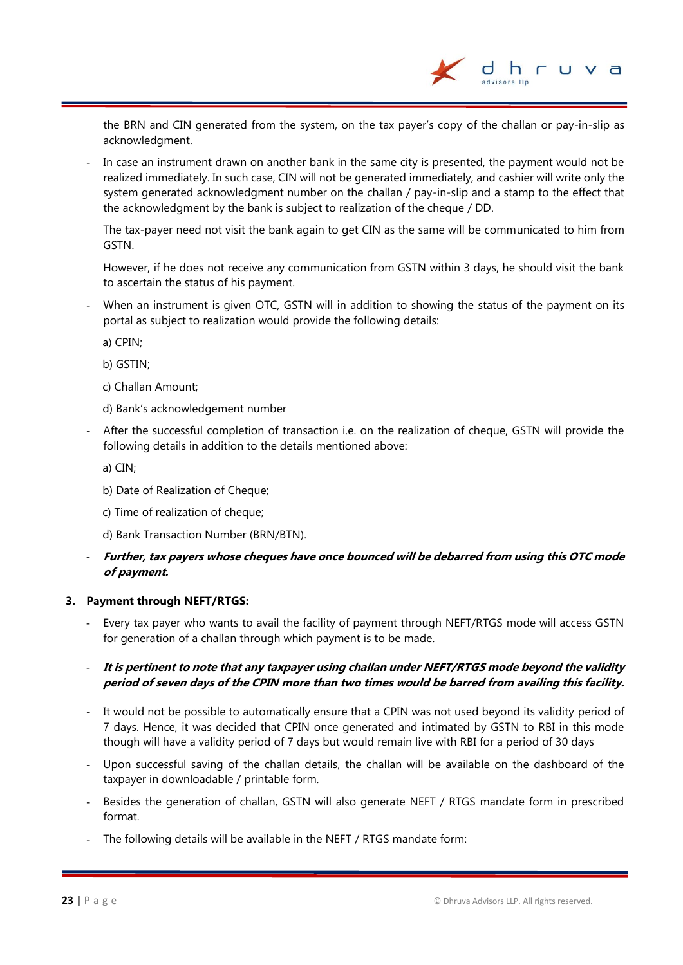the BRN and CIN generated from the system, on the tax payer's copy of the challan or pay-in-slip as acknowledgment.

In case an instrument drawn on another bank in the same city is presented, the payment would not be realized immediately. In such case, CIN will not be generated immediately, and cashier will write only the system generated acknowledgment number on the challan / pay-in-slip and a stamp to the effect that the acknowledgment by the bank is subject to realization of the cheque / DD.

The tax-payer need not visit the bank again to get CIN as the same will be communicated to him from GSTN.

However, if he does not receive any communication from GSTN within 3 days, he should visit the bank to ascertain the status of his payment.

When an instrument is given OTC, GSTN will in addition to showing the status of the payment on its portal as subject to realization would provide the following details:

a) CPIN;

b) GSTIN;

c) Challan Amount;

- d) Bank's acknowledgement number
- After the successful completion of transaction i.e. on the realization of cheque, GSTN will provide the following details in addition to the details mentioned above:

a) CIN;

- b) Date of Realization of Cheque;
- c) Time of realization of cheque;
- d) Bank Transaction Number (BRN/BTN).

#### - **Further, tax payers whose cheques have once bounced will be debarred from using this OTC mode of payment.**

#### **3. Payment through NEFT/RTGS:**

- Every tax payer who wants to avail the facility of payment through NEFT/RTGS mode will access GSTN for generation of a challan through which payment is to be made.

#### - **It is pertinent to note that any taxpayer using challan under NEFT/RTGS mode beyond the validity period of seven days of the CPIN more than two times would be barred from availing this facility.**

- It would not be possible to automatically ensure that a CPIN was not used beyond its validity period of 7 days. Hence, it was decided that CPIN once generated and intimated by GSTN to RBI in this mode though will have a validity period of 7 days but would remain live with RBI for a period of 30 days
- Upon successful saving of the challan details, the challan will be available on the dashboard of the taxpayer in downloadable / printable form.
- Besides the generation of challan, GSTN will also generate NEFT / RTGS mandate form in prescribed format.
- The following details will be available in the NEFT / RTGS mandate form: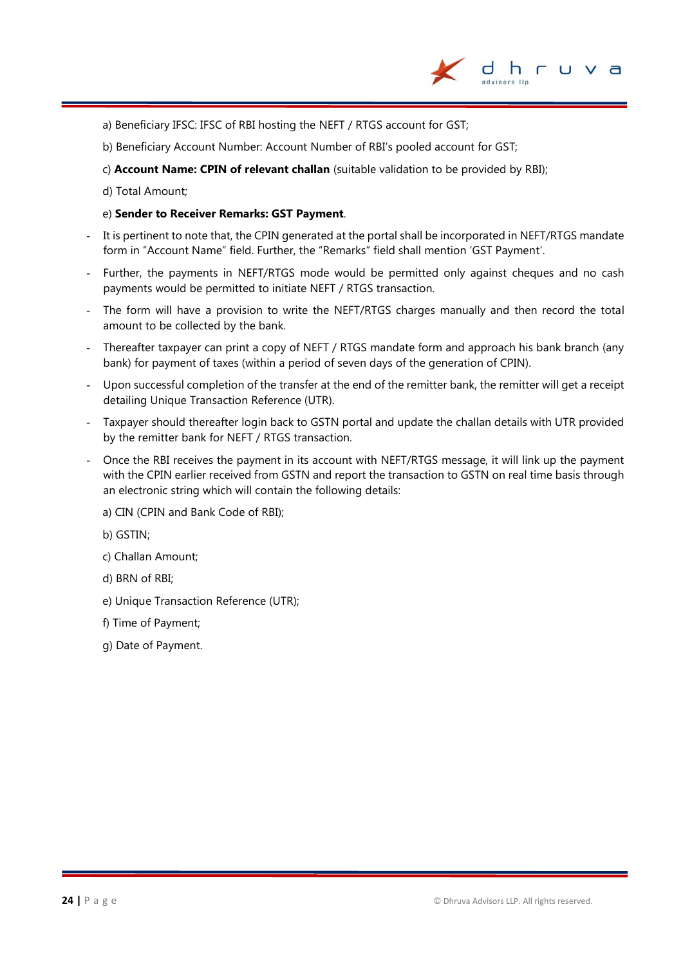

- a) Beneficiary IFSC: IFSC of RBI hosting the NEFT / RTGS account for GST;
- b) Beneficiary Account Number: Account Number of RBI's pooled account for GST;
- c) **Account Name: CPIN of relevant challan** (suitable validation to be provided by RBI);
- d) Total Amount;

#### e) **Sender to Receiver Remarks: GST Payment**.

- It is pertinent to note that, the CPIN generated at the portal shall be incorporated in NEFT/RTGS mandate form in "Account Name" field. Further, the "Remarks" field shall mention 'GST Payment'.
- Further, the payments in NEFT/RTGS mode would be permitted only against cheques and no cash payments would be permitted to initiate NEFT / RTGS transaction.
- The form will have a provision to write the NEFT/RTGS charges manually and then record the total amount to be collected by the bank.
- Thereafter taxpayer can print a copy of NEFT / RTGS mandate form and approach his bank branch (any bank) for payment of taxes (within a period of seven days of the generation of CPIN).
- Upon successful completion of the transfer at the end of the remitter bank, the remitter will get a receipt detailing Unique Transaction Reference (UTR).
- Taxpayer should thereafter login back to GSTN portal and update the challan details with UTR provided by the remitter bank for NEFT / RTGS transaction.
- Once the RBI receives the payment in its account with NEFT/RTGS message, it will link up the payment with the CPIN earlier received from GSTN and report the transaction to GSTN on real time basis through an electronic string which will contain the following details:
	- a) CIN (CPIN and Bank Code of RBI);
	- b) GSTIN;
	- c) Challan Amount;
	- d) BRN of RBI;
	- e) Unique Transaction Reference (UTR);
	- f) Time of Payment;
	- g) Date of Payment.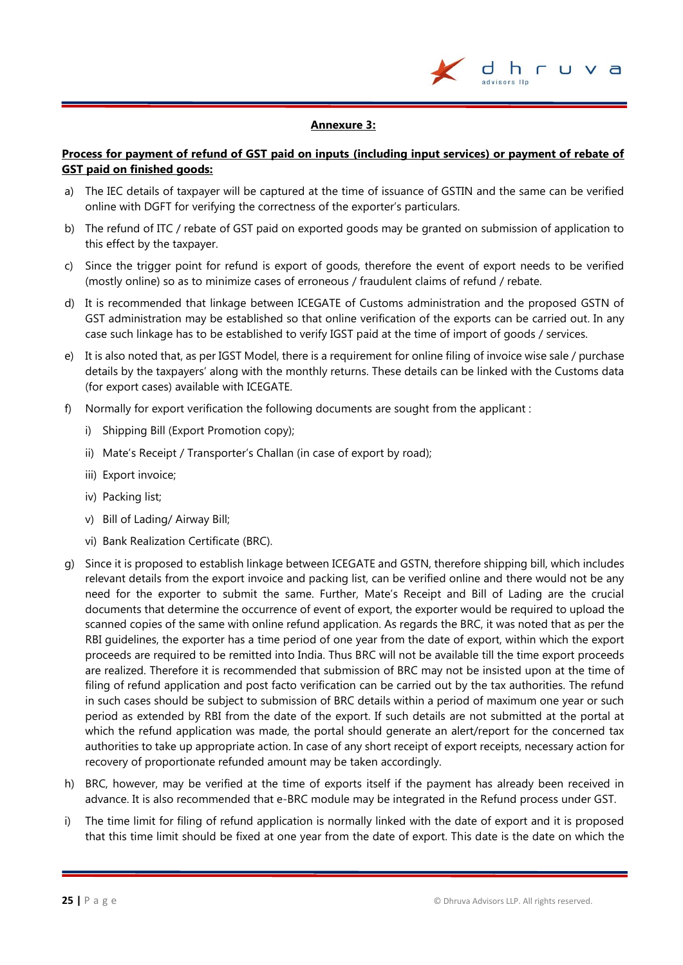

#### **Annexure 3:**

#### **Process for payment of refund of GST paid on inputs (including input services) or payment of rebate of GST paid on finished goods:**

- a) The IEC details of taxpayer will be captured at the time of issuance of GSTIN and the same can be verified online with DGFT for verifying the correctness of the exporter's particulars.
- b) The refund of ITC / rebate of GST paid on exported goods may be granted on submission of application to this effect by the taxpayer.
- c) Since the trigger point for refund is export of goods, therefore the event of export needs to be verified (mostly online) so as to minimize cases of erroneous / fraudulent claims of refund / rebate.
- d) It is recommended that linkage between ICEGATE of Customs administration and the proposed GSTN of GST administration may be established so that online verification of the exports can be carried out. In any case such linkage has to be established to verify IGST paid at the time of import of goods / services.
- e) It is also noted that, as per IGST Model, there is a requirement for online filing of invoice wise sale / purchase details by the taxpayers' along with the monthly returns. These details can be linked with the Customs data (for export cases) available with ICEGATE.
- f) Normally for export verification the following documents are sought from the applicant :
	- i) Shipping Bill (Export Promotion copy);
	- ii) Mate's Receipt / Transporter's Challan (in case of export by road);
	- iii) Export invoice:
	- iv) Packing list;
	- v) Bill of Lading/ Airway Bill;
	- vi) Bank Realization Certificate (BRC).
- g) Since it is proposed to establish linkage between ICEGATE and GSTN, therefore shipping bill, which includes relevant details from the export invoice and packing list, can be verified online and there would not be any need for the exporter to submit the same. Further, Mate's Receipt and Bill of Lading are the crucial documents that determine the occurrence of event of export, the exporter would be required to upload the scanned copies of the same with online refund application. As regards the BRC, it was noted that as per the RBI guidelines, the exporter has a time period of one year from the date of export, within which the export proceeds are required to be remitted into India. Thus BRC will not be available till the time export proceeds are realized. Therefore it is recommended that submission of BRC may not be insisted upon at the time of filing of refund application and post facto verification can be carried out by the tax authorities. The refund in such cases should be subject to submission of BRC details within a period of maximum one year or such period as extended by RBI from the date of the export. If such details are not submitted at the portal at which the refund application was made, the portal should generate an alert/report for the concerned tax authorities to take up appropriate action. In case of any short receipt of export receipts, necessary action for recovery of proportionate refunded amount may be taken accordingly.
- h) BRC, however, may be verified at the time of exports itself if the payment has already been received in advance. It is also recommended that e-BRC module may be integrated in the Refund process under GST.
- i) The time limit for filing of refund application is normally linked with the date of export and it is proposed that this time limit should be fixed at one year from the date of export. This date is the date on which the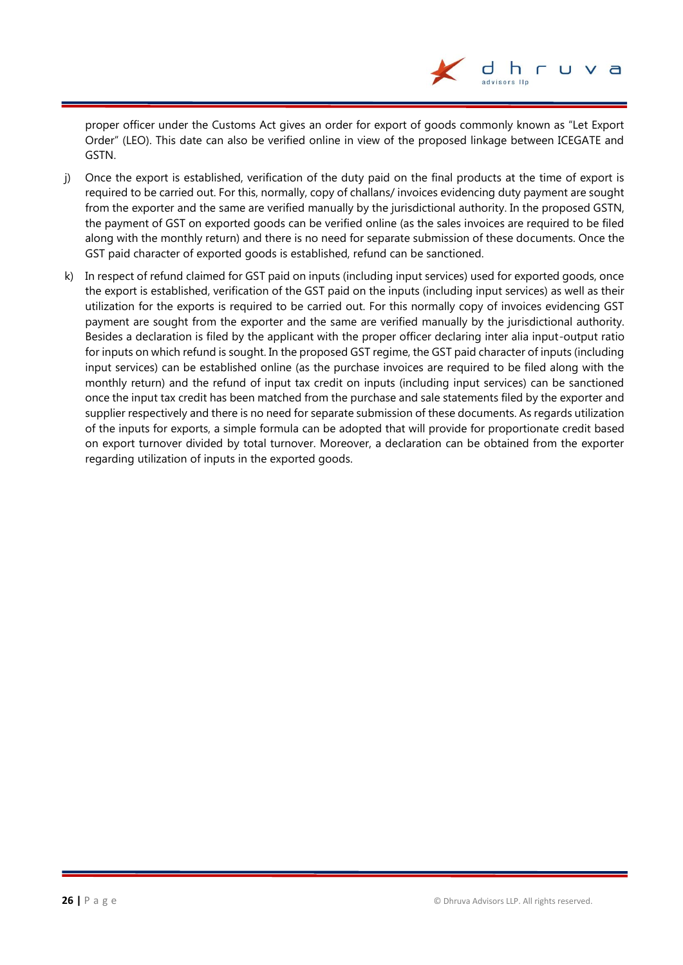proper officer under the Customs Act gives an order for export of goods commonly known as "Let Export Order" (LEO). This date can also be verified online in view of the proposed linkage between ICEGATE and GSTN.

- j) Once the export is established, verification of the duty paid on the final products at the time of export is required to be carried out. For this, normally, copy of challans/ invoices evidencing duty payment are sought from the exporter and the same are verified manually by the jurisdictional authority. In the proposed GSTN, the payment of GST on exported goods can be verified online (as the sales invoices are required to be filed along with the monthly return) and there is no need for separate submission of these documents. Once the GST paid character of exported goods is established, refund can be sanctioned.
- k) In respect of refund claimed for GST paid on inputs (including input services) used for exported goods, once the export is established, verification of the GST paid on the inputs (including input services) as well as their utilization for the exports is required to be carried out. For this normally copy of invoices evidencing GST payment are sought from the exporter and the same are verified manually by the jurisdictional authority. Besides a declaration is filed by the applicant with the proper officer declaring inter alia input-output ratio for inputs on which refund is sought. In the proposed GST regime, the GST paid character of inputs (including input services) can be established online (as the purchase invoices are required to be filed along with the monthly return) and the refund of input tax credit on inputs (including input services) can be sanctioned once the input tax credit has been matched from the purchase and sale statements filed by the exporter and supplier respectively and there is no need for separate submission of these documents. As regards utilization of the inputs for exports, a simple formula can be adopted that will provide for proportionate credit based on export turnover divided by total turnover. Moreover, a declaration can be obtained from the exporter regarding utilization of inputs in the exported goods.